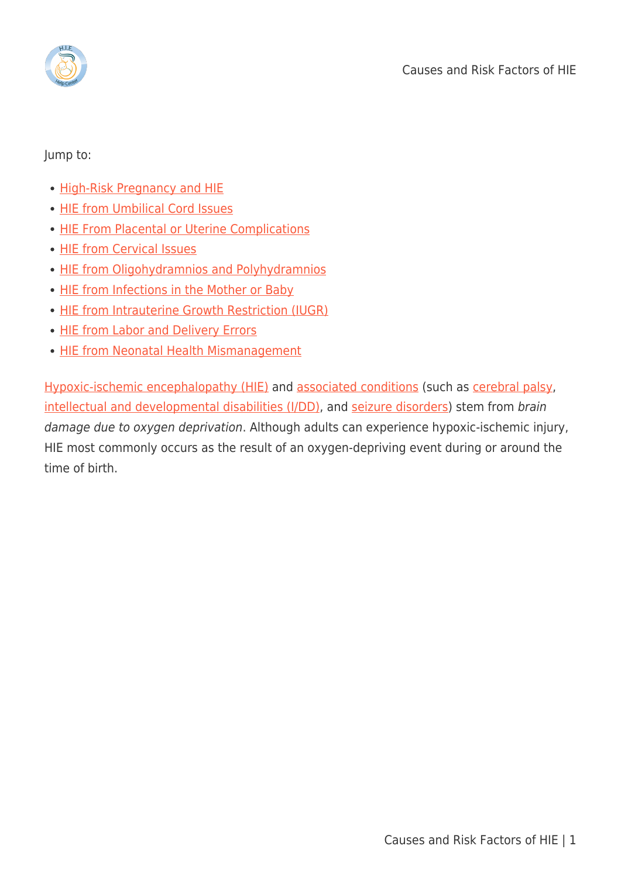

Jump to:

- [High-Risk Pregnancy and HIE](#page--1-0)
- [HIE from Umbilical Cord Issues](#page--1-0)
- [HIE From Placental or Uterine Complications](#page--1-0)
- [HIE from Cervical Issues](#page--1-0)
- [HIE from Oligohydramnios and Polyhydramnios](#page--1-0)
- [HIE from Infections in the Mother or Baby](#page--1-0)
- **[HIE from Intrauterine Growth Restriction \(IUGR\)](#page--1-0)**
- [HIE from Labor and Delivery Errors](#page--1-0)
- [HIE from Neonatal Health Mismanagement](#page--1-0)

[Hypoxic-ischemic encephalopathy \(HIE\)](https://hiehelpcenter.org/what-is-hypoxic-ischemic-encephalopathy/) and [associated conditions](https://hiehelpcenter.org/medical/associated-conditions/) (such as [cerebral palsy,](https://hiehelpcenter.org/medical/associated-conditions/cerebral-palsy/) [intellectual and developmental disabilities \(I/DD\),](https://hiehelpcenter.org/medical/associated-conditions/intellectual-developmental-disabilities/) and [seizure disorders\)](https://hiehelpcenter.org/medical/associated-conditions/epilepsy-seizures-seizure-disorders/) stem from brain damage due to oxygen deprivation. Although adults can experience hypoxic-ischemic injury, HIE most commonly occurs as the result of an oxygen-depriving event during or around the time of birth.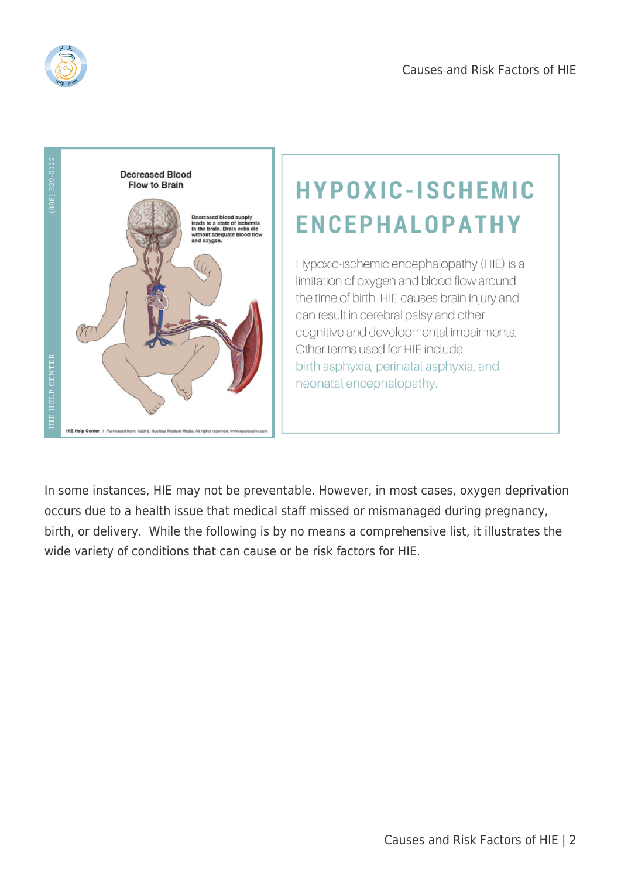



# **HYPOXIC-ISCHEMIC ENCEPHALOPATHY**

Hypoxic-ischemic encephalopathy (HIE) is a limitation of oxygen and blood flow around the time of birth. HIE causes brain injury and can result in cerebral palsy and other cognitive and developmental impairments. Other terms used for HIE include birth asphyxia, perinatal asphyxia, and neonatal encephalopathy.

In some instances, HIE may not be preventable. However, in most cases, oxygen deprivation occurs due to a health issue that medical staff missed or mismanaged during pregnancy, birth, or delivery. While the following is by no means a comprehensive list, it illustrates the wide variety of conditions that can cause or be risk factors for HIE.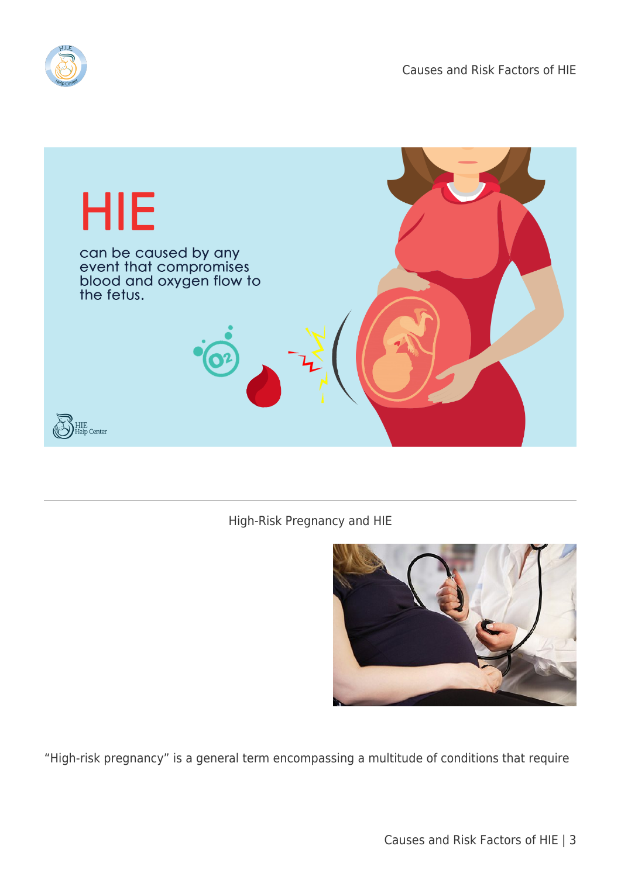



#### High-Risk Pregnancy and HIE



"High-risk pregnancy" is a general term encompassing a multitude of conditions that require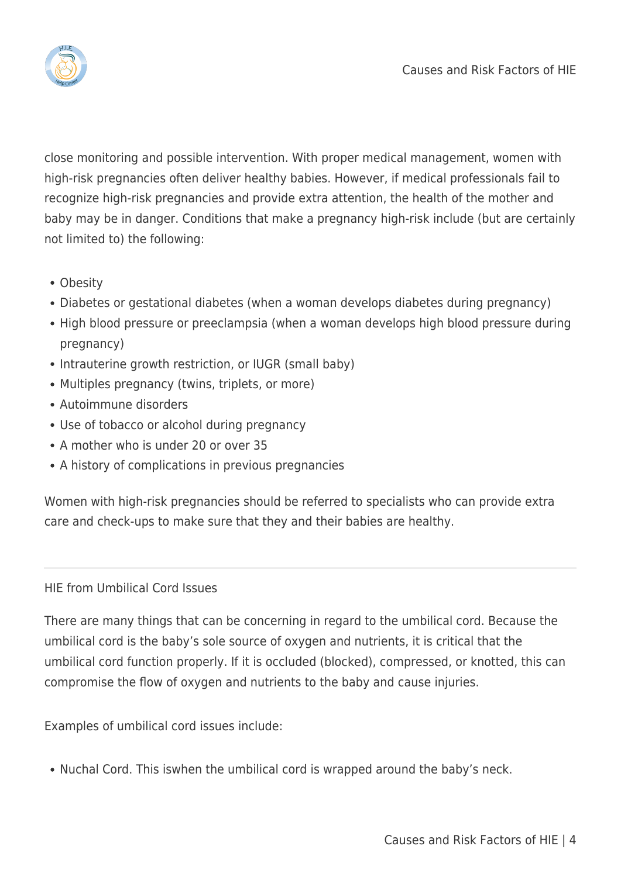

close monitoring and possible intervention. With proper medical management, women with high-risk pregnancies often deliver healthy babies. However, if medical professionals fail to recognize high-risk pregnancies and provide extra attention, the health of the mother and baby may be in danger. Conditions that make a pregnancy high-risk include (but are certainly not limited to) the following:

- Obesity
- Diabetes or gestational diabetes (when a woman develops diabetes during pregnancy)
- High blood pressure or preeclampsia (when a woman develops high blood pressure during pregnancy)
- Intrauterine growth restriction, or IUGR (small baby)
- Multiples pregnancy (twins, triplets, or more)
- Autoimmune disorders
- Use of tobacco or alcohol during pregnancy
- A mother who is under 20 or over 35
- A history of complications in previous pregnancies

Women with high-risk pregnancies should be referred to specialists who can provide extra care and check-ups to make sure that they and their babies are healthy.

## HIE from Umbilical Cord Issues

There are many things that can be concerning in regard to the umbilical cord. Because the umbilical cord is the baby's sole source of oxygen and nutrients, it is critical that the umbilical cord function properly. If it is occluded (blocked), compressed, or knotted, this can compromise the flow of oxygen and nutrients to the baby and cause injuries.

Examples of umbilical cord issues include:

• Nuchal Cord. This iswhen the umbilical cord is wrapped around the baby's neck.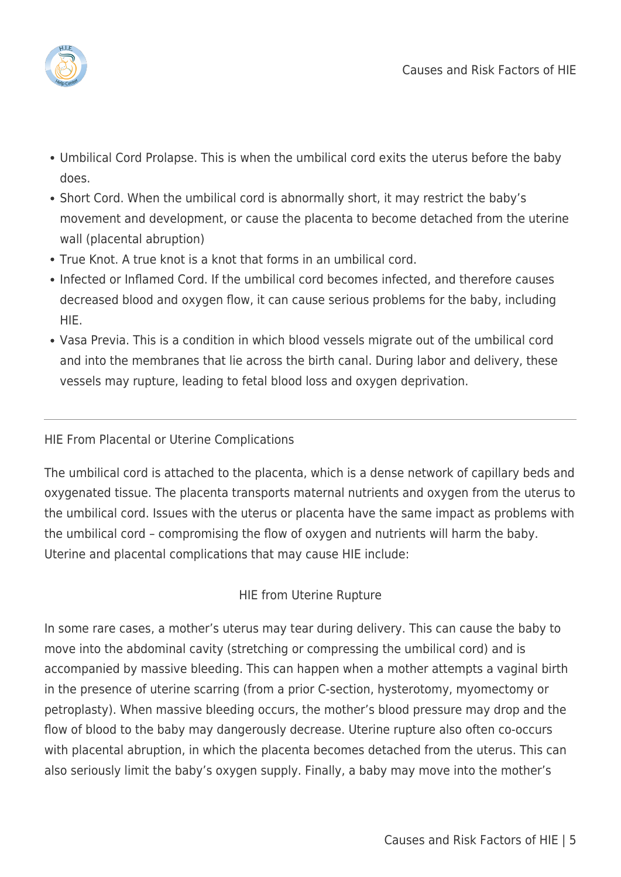

- Umbilical Cord Prolapse. This is when the umbilical cord exits the uterus before the baby does.
- Short Cord. When the umbilical cord is abnormally short, it may restrict the baby's movement and development, or cause the placenta to become detached from the uterine wall (placental abruption)
- True Knot. A true knot is a knot that forms in an umbilical cord.
- Infected or Inflamed Cord. If the umbilical cord becomes infected, and therefore causes decreased blood and oxygen flow, it can cause serious problems for the baby, including HIE.
- Vasa Previa. This is a condition in which blood vessels migrate out of the umbilical cord and into the membranes that lie across the birth canal. During labor and delivery, these vessels may rupture, leading to fetal blood loss and oxygen deprivation.

## HIE From Placental or Uterine Complications

The umbilical cord is attached to the placenta, which is a dense network of capillary beds and oxygenated tissue. The placenta transports maternal nutrients and oxygen from the uterus to the umbilical cord. Issues with the uterus or placenta have the same impact as problems with the umbilical cord – compromising the flow of oxygen and nutrients will harm the baby. Uterine and placental complications that may cause HIE include:

## HIE from Uterine Rupture

In some rare cases, a mother's uterus may tear during delivery. This can cause the baby to move into the abdominal cavity (stretching or compressing the umbilical cord) and is accompanied by massive bleeding. This can happen when a mother attempts a vaginal birth in the presence of uterine scarring (from a prior C-section, hysterotomy, myomectomy or petroplasty). When massive bleeding occurs, the mother's blood pressure may drop and the flow of blood to the baby may dangerously decrease. Uterine rupture also often co-occurs with placental abruption, in which the placenta becomes detached from the uterus. This can also seriously limit the baby's oxygen supply. Finally, a baby may move into the mother's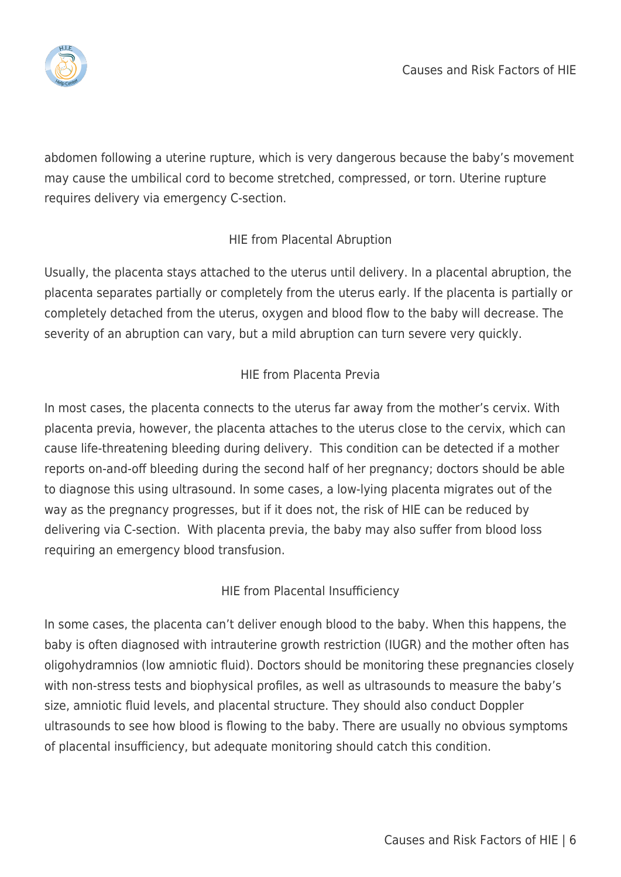

abdomen following a uterine rupture, which is very dangerous because the baby's movement may cause the umbilical cord to become stretched, compressed, or torn. Uterine rupture requires delivery via emergency C-section.

# HIE from Placental Abruption

Usually, the placenta stays attached to the uterus until delivery. In a placental abruption, the placenta separates partially or completely from the uterus early. If the placenta is partially or completely detached from the uterus, oxygen and blood flow to the baby will decrease. The severity of an abruption can vary, but a mild abruption can turn severe very quickly.

# HIE from Placenta Previa

In most cases, the placenta connects to the uterus far away from the mother's cervix. With placenta previa, however, the placenta attaches to the uterus close to the cervix, which can cause life-threatening bleeding during delivery. This condition can be detected if a mother reports on-and-off bleeding during the second half of her pregnancy; doctors should be able to diagnose this using ultrasound. In some cases, a low-lying placenta migrates out of the way as the pregnancy progresses, but if it does not, the risk of HIE can be reduced by delivering via C-section. With placenta previa, the baby may also suffer from blood loss requiring an emergency blood transfusion.

## HIE from Placental Insufficiency

In some cases, the placenta can't deliver enough blood to the baby. When this happens, the baby is often diagnosed with intrauterine growth restriction (IUGR) and the mother often has oligohydramnios (low amniotic fluid). Doctors should be monitoring these pregnancies closely with non-stress tests and biophysical profiles, as well as ultrasounds to measure the baby's size, amniotic fluid levels, and placental structure. They should also conduct Doppler ultrasounds to see how blood is flowing to the baby. There are usually no obvious symptoms of placental insufficiency, but adequate monitoring should catch this condition.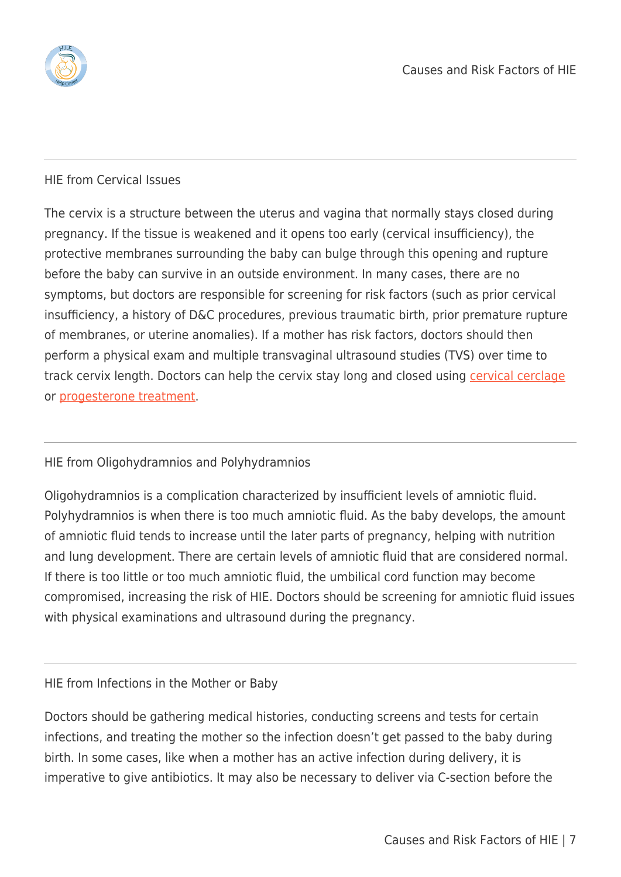

#### HIE from Cervical Issues

The cervix is a structure between the uterus and vagina that normally stays closed during pregnancy. If the tissue is weakened and it opens too early (cervical insufficiency), the protective membranes surrounding the baby can bulge through this opening and rupture before the baby can survive in an outside environment. In many cases, there are no symptoms, but doctors are responsible for screening for risk factors (such as prior cervical insufficiency, a history of D&C procedures, previous traumatic birth, prior premature rupture of membranes, or uterine anomalies). If a mother has risk factors, doctors should then perform a physical exam and multiple transvaginal ultrasound studies (TVS) over time to track cervix length. Doctors can help the cervix stay long and closed using [cervical cerclage](https://hiehelpcenter.org/medical/prevention/premature-birth/cervical-cerclage/) or [progesterone treatment](https://hiehelpcenter.org/medical/prevention/premature-birth/progesterone/).

#### HIE from Oligohydramnios and Polyhydramnios

Oligohydramnios is a complication characterized by insufficient levels of amniotic fluid. Polyhydramnios is when there is too much amniotic fluid. As the baby develops, the amount of amniotic fluid tends to increase until the later parts of pregnancy, helping with nutrition and lung development. There are certain levels of amniotic fluid that are considered normal. If there is too little or too much amniotic fluid, the umbilical cord function may become compromised, increasing the risk of HIE. Doctors should be screening for amniotic fluid issues with physical examinations and ultrasound during the pregnancy.

#### HIE from Infections in the Mother or Baby

Doctors should be gathering medical histories, conducting screens and tests for certain infections, and treating the mother so the infection doesn't get passed to the baby during birth. In some cases, like when a mother has an active infection during delivery, it is imperative to give antibiotics. It may also be necessary to deliver via C-section before the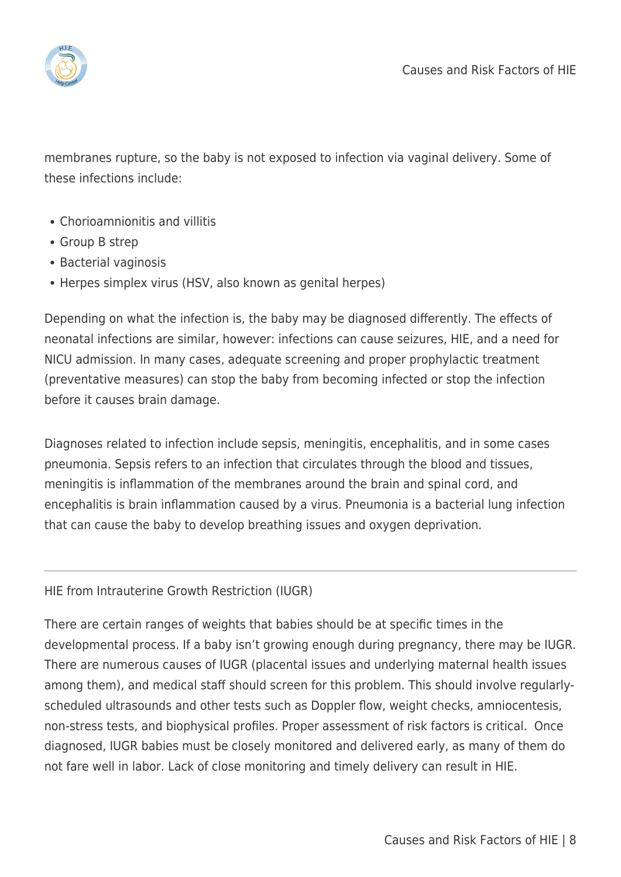

membranes rupture, so the baby is not exposed to infection via vaginal delivery. Some of these infections include:

- Chorioamnionitis and villitis
- Group B strep
- Bacterial vaginosis
- Herpes simplex virus (HSV, also known as genital herpes)

Depending on what the infection is, the baby may be diagnosed differently. The effects of neonatal infections are similar, however: infections can cause seizures, HIE, and a need for NICU admission. In many cases, adequate screening and proper prophylactic treatment (preventative measures) can stop the baby from becoming infected or stop the infection before it causes brain damage.

Diagnoses related to infection include sepsis, meningitis, encephalitis, and in some cases pneumonia. Sepsis refers to an infection that circulates through the blood and tissues, meningitis is inflammation of the membranes around the brain and spinal cord, and encephalitis is brain inflammation caused by a virus. Pneumonia is a bacterial lung infection that can cause the baby to develop breathing issues and oxygen deprivation.

#### HIE from Intrauterine Growth Restriction (IUGR)

There are certain ranges of weights that babies should be at specific times in the developmental process. If a baby isn't growing enough during pregnancy, there may be IUGR. There are numerous causes of IUGR (placental issues and underlying maternal health issues among them), and medical staff should screen for this problem. This should involve regularlyscheduled ultrasounds and other tests such as Doppler flow, weight checks, amniocentesis, non-stress tests, and biophysical profiles. Proper assessment of risk factors is critical. Once diagnosed, IUGR babies must be closely monitored and delivered early, as many of them do not fare well in labor. Lack of close monitoring and timely delivery can result in HIE.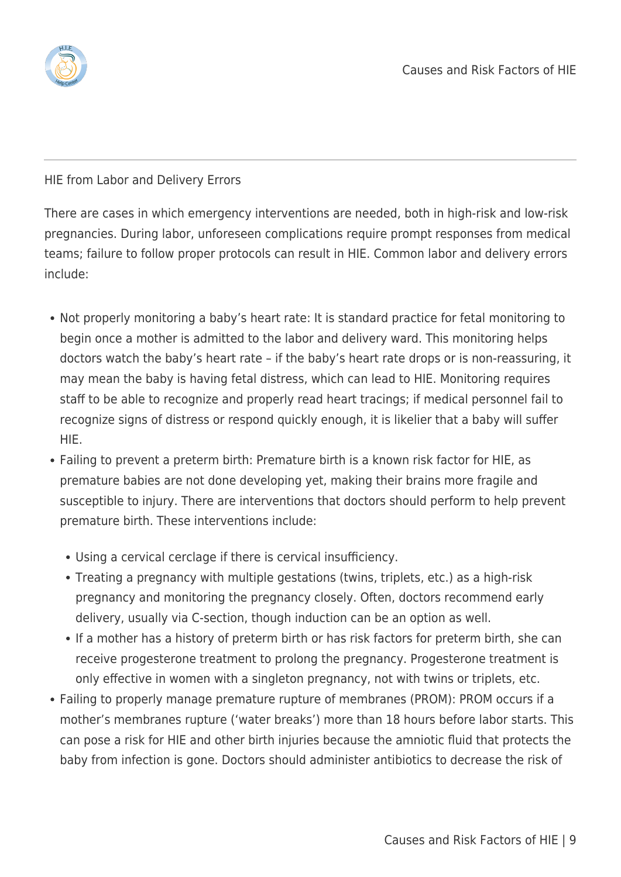

HIE from Labor and Delivery Errors

There are cases in which emergency interventions are needed, both in high-risk and low-risk pregnancies. During labor, unforeseen complications require prompt responses from medical teams; failure to follow proper protocols can result in HIE. Common labor and delivery errors include:

- Not properly monitoring a baby's heart rate: It is standard practice for fetal monitoring to begin once a mother is admitted to the labor and delivery ward. This monitoring helps doctors watch the baby's heart rate – if the baby's heart rate drops or is non-reassuring, it may mean the baby is having fetal distress, which can lead to HIE. Monitoring requires staff to be able to recognize and properly read heart tracings; if medical personnel fail to recognize signs of distress or respond quickly enough, it is likelier that a baby will suffer HIE.
- Failing to prevent a preterm birth: Premature birth is a known risk factor for HIE, as premature babies are not done developing yet, making their brains more fragile and susceptible to injury. There are interventions that doctors should perform to help prevent premature birth. These interventions include:
	- Using a cervical cerclage if there is cervical insufficiency.
	- Treating a pregnancy with multiple gestations (twins, triplets, etc.) as a high-risk pregnancy and monitoring the pregnancy closely. Often, doctors recommend early delivery, usually via C-section, though induction can be an option as well.
	- If a mother has a history of preterm birth or has risk factors for preterm birth, she can receive progesterone treatment to prolong the pregnancy. Progesterone treatment is only effective in women with a singleton pregnancy, not with twins or triplets, etc.
- Failing to properly manage premature rupture of membranes (PROM): PROM occurs if a mother's membranes rupture ('water breaks') more than 18 hours before labor starts. This can pose a risk for HIE and other birth injuries because the amniotic fluid that protects the baby from infection is gone. Doctors should administer antibiotics to decrease the risk of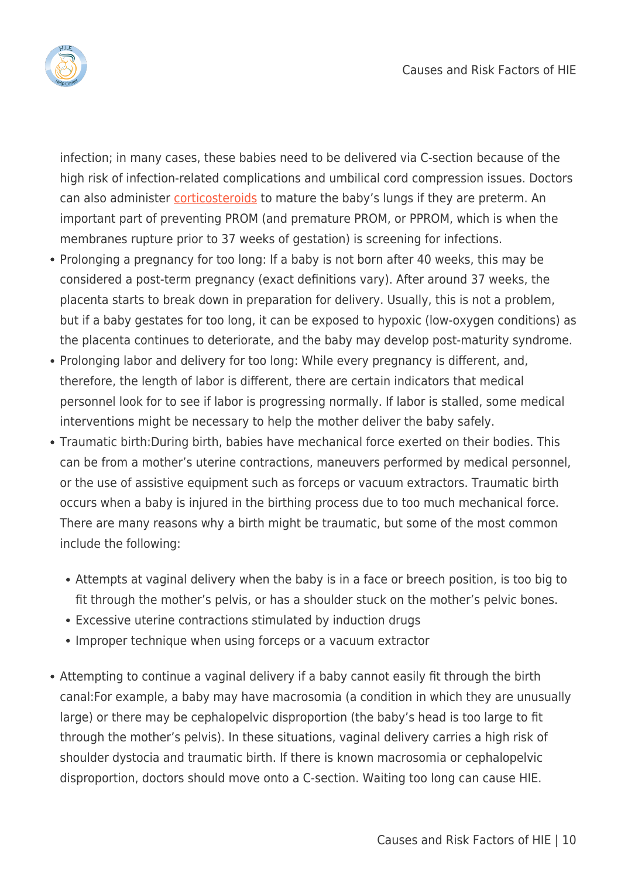

infection; in many cases, these babies need to be delivered via C-section because of the high risk of infection-related complications and umbilical cord compression issues. Doctors can also administer *corticosteroids* to mature the baby's lungs if they are preterm. An important part of preventing PROM (and premature PROM, or PPROM, which is when the membranes rupture prior to 37 weeks of gestation) is screening for infections.

- Prolonging a pregnancy for too long: If a baby is not born after 40 weeks, this may be considered a post-term pregnancy (exact definitions vary). After around 37 weeks, the placenta starts to break down in preparation for delivery. Usually, this is not a problem, but if a baby gestates for too long, it can be exposed to hypoxic (low-oxygen conditions) as the placenta continues to deteriorate, and the baby may develop post-maturity syndrome.
- Prolonging labor and delivery for too long: While every pregnancy is different, and, therefore, the length of labor is different, there are certain indicators that medical personnel look for to see if labor is progressing normally. If labor is stalled, some medical interventions might be necessary to help the mother deliver the baby safely.
- Traumatic birth:During birth, babies have mechanical force exerted on their bodies. This can be from a mother's uterine contractions, maneuvers performed by medical personnel, or the use of assistive equipment such as forceps or vacuum extractors. Traumatic birth occurs when a baby is injured in the birthing process due to too much mechanical force. There are many reasons why a birth might be traumatic, but some of the most common include the following:
	- Attempts at vaginal delivery when the baby is in a face or breech position, is too big to fit through the mother's pelvis, or has a shoulder stuck on the mother's pelvic bones.
	- Excessive uterine contractions stimulated by induction drugs
	- Improper technique when using forceps or a vacuum extractor
- Attempting to continue a vaginal delivery if a baby cannot easily fit through the birth canal:For example, a baby may have macrosomia (a condition in which they are unusually large) or there may be cephalopelvic disproportion (the baby's head is too large to fit through the mother's pelvis). In these situations, vaginal delivery carries a high risk of shoulder dystocia and traumatic birth. If there is known macrosomia or cephalopelvic disproportion, doctors should move onto a C-section. Waiting too long can cause HIE.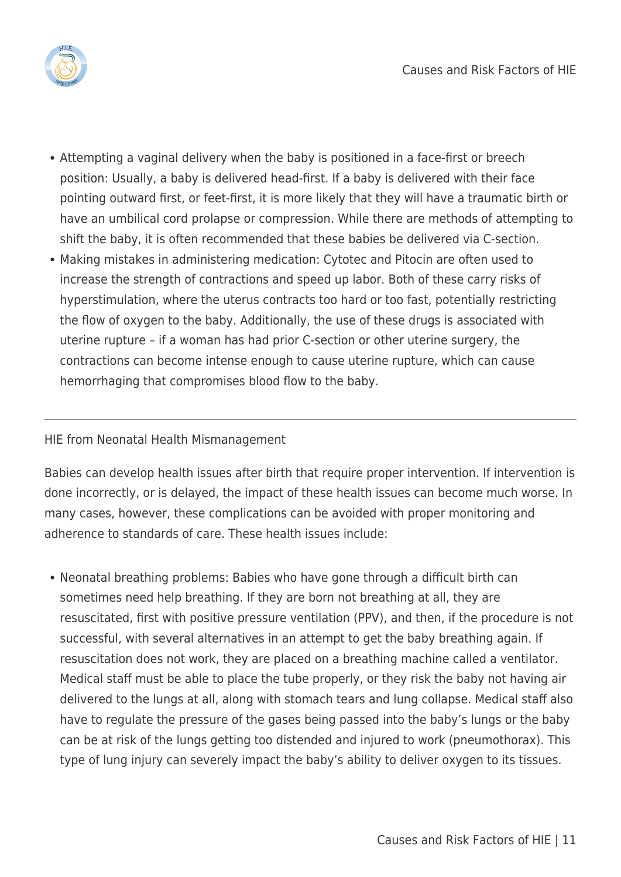

- Attempting a vaginal delivery when the baby is positioned in a face-first or breech position: Usually, a baby is delivered head-first. If a baby is delivered with their face pointing outward first, or feet-first, it is more likely that they will have a traumatic birth or have an umbilical cord prolapse or compression. While there are methods of attempting to shift the baby, it is often recommended that these babies be delivered via C-section.
- Making mistakes in administering medication: Cytotec and Pitocin are often used to increase the strength of contractions and speed up labor. Both of these carry risks of hyperstimulation, where the uterus contracts too hard or too fast, potentially restricting the flow of oxygen to the baby. Additionally, the use of these drugs is associated with uterine rupture – if a woman has had prior C-section or other uterine surgery, the contractions can become intense enough to cause uterine rupture, which can cause hemorrhaging that compromises blood flow to the baby.

#### HIE from Neonatal Health Mismanagement

Babies can develop health issues after birth that require proper intervention. If intervention is done incorrectly, or is delayed, the impact of these health issues can become much worse. In many cases, however, these complications can be avoided with proper monitoring and adherence to standards of care. These health issues include:

Neonatal breathing problems: Babies who have gone through a difficult birth can sometimes need help breathing. If they are born not breathing at all, they are resuscitated, first with positive pressure ventilation (PPV), and then, if the procedure is not successful, with several alternatives in an attempt to get the baby breathing again. If resuscitation does not work, they are placed on a breathing machine called a ventilator. Medical staff must be able to place the tube properly, or they risk the baby not having air delivered to the lungs at all, along with stomach tears and lung collapse. Medical staff also have to regulate the pressure of the gases being passed into the baby's lungs or the baby can be at risk of the lungs getting too distended and injured to work (pneumothorax). This type of lung injury can severely impact the baby's ability to deliver oxygen to its tissues.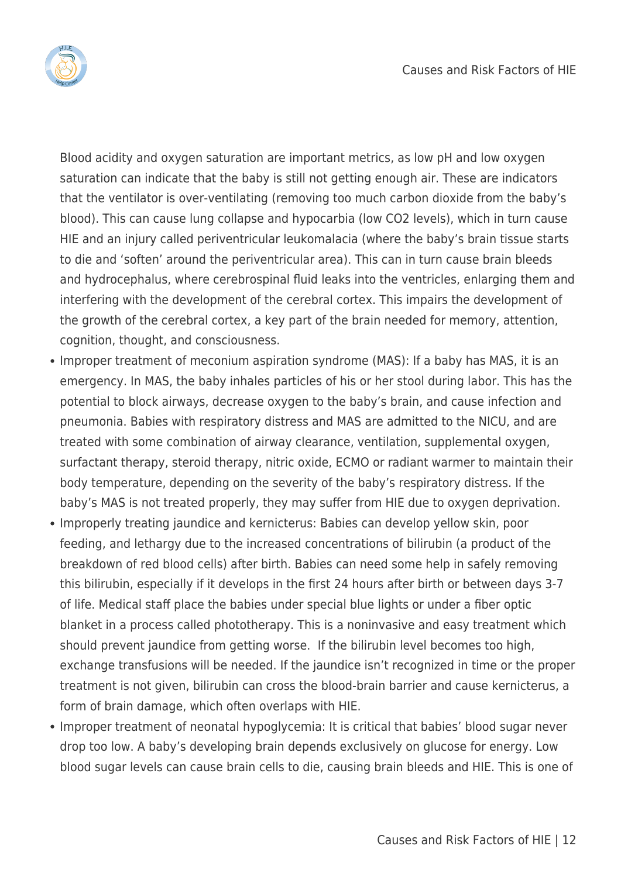

Blood acidity and oxygen saturation are important metrics, as low pH and low oxygen saturation can indicate that the baby is still not getting enough air. These are indicators that the ventilator is over-ventilating (removing too much carbon dioxide from the baby's blood). This can cause lung collapse and hypocarbia (low CO2 levels), which in turn cause HIE and an injury called periventricular leukomalacia (where the baby's brain tissue starts to die and 'soften' around the periventricular area). This can in turn cause brain bleeds and hydrocephalus, where cerebrospinal fluid leaks into the ventricles, enlarging them and interfering with the development of the cerebral cortex. This impairs the development of the growth of the cerebral cortex, a key part of the brain needed for memory, attention, cognition, thought, and consciousness.

- Improper treatment of meconium aspiration syndrome (MAS): If a baby has MAS, it is an emergency. In MAS, the baby inhales particles of his or her stool during labor. This has the potential to block airways, decrease oxygen to the baby's brain, and cause infection and pneumonia. Babies with respiratory distress and MAS are admitted to the NICU, and are treated with some combination of airway clearance, ventilation, supplemental oxygen, surfactant therapy, steroid therapy, nitric oxide, ECMO or radiant warmer to maintain their body temperature, depending on the severity of the baby's respiratory distress. If the baby's MAS is not treated properly, they may suffer from HIE due to oxygen deprivation.
- Improperly treating jaundice and kernicterus: Babies can develop yellow skin, poor feeding, and lethargy due to the increased concentrations of bilirubin (a product of the breakdown of red blood cells) after birth. Babies can need some help in safely removing this bilirubin, especially if it develops in the first 24 hours after birth or between days 3-7 of life. Medical staff place the babies under special blue lights or under a fiber optic blanket in a process called phototherapy. This is a noninvasive and easy treatment which should prevent jaundice from getting worse. If the bilirubin level becomes too high, exchange transfusions will be needed. If the jaundice isn't recognized in time or the proper treatment is not given, bilirubin can cross the blood-brain barrier and cause kernicterus, a form of brain damage, which often overlaps with HIE.
- Improper treatment of neonatal hypoglycemia: It is critical that babies' blood sugar never drop too low. A baby's developing brain depends exclusively on glucose for energy. Low blood sugar levels can cause brain cells to die, causing brain bleeds and HIE. This is one of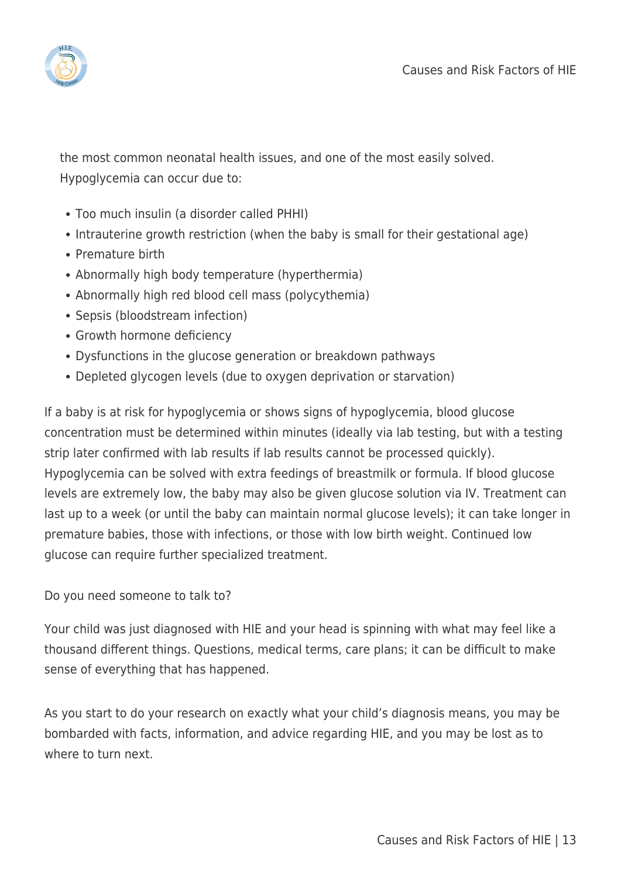

the most common neonatal health issues, and one of the most easily solved. Hypoglycemia can occur due to:

- Too much insulin (a disorder called PHHI)
- Intrauterine growth restriction (when the baby is small for their gestational age)
- Premature birth
- Abnormally high body temperature (hyperthermia)
- Abnormally high red blood cell mass (polycythemia)
- Sepsis (bloodstream infection)
- Growth hormone deficiency
- Dysfunctions in the glucose generation or breakdown pathways
- Depleted glycogen levels (due to oxygen deprivation or starvation)

If a baby is at risk for hypoglycemia or shows signs of hypoglycemia, blood glucose concentration must be determined within minutes (ideally via lab testing, but with a testing strip later confirmed with lab results if lab results cannot be processed quickly). Hypoglycemia can be solved with extra feedings of breastmilk or formula. If blood glucose levels are extremely low, the baby may also be given glucose solution via IV. Treatment can last up to a week (or until the baby can maintain normal glucose levels); it can take longer in premature babies, those with infections, or those with low birth weight. Continued low glucose can require further specialized treatment.

Do you need someone to talk to?

Your child was just diagnosed with HIE and your head is spinning with what may feel like a thousand different things. Questions, medical terms, care plans; it can be difficult to make sense of everything that has happened.

As you start to do your research on exactly what your child's diagnosis means, you may be bombarded with facts, information, and advice regarding HIE, and you may be lost as to where to turn next.